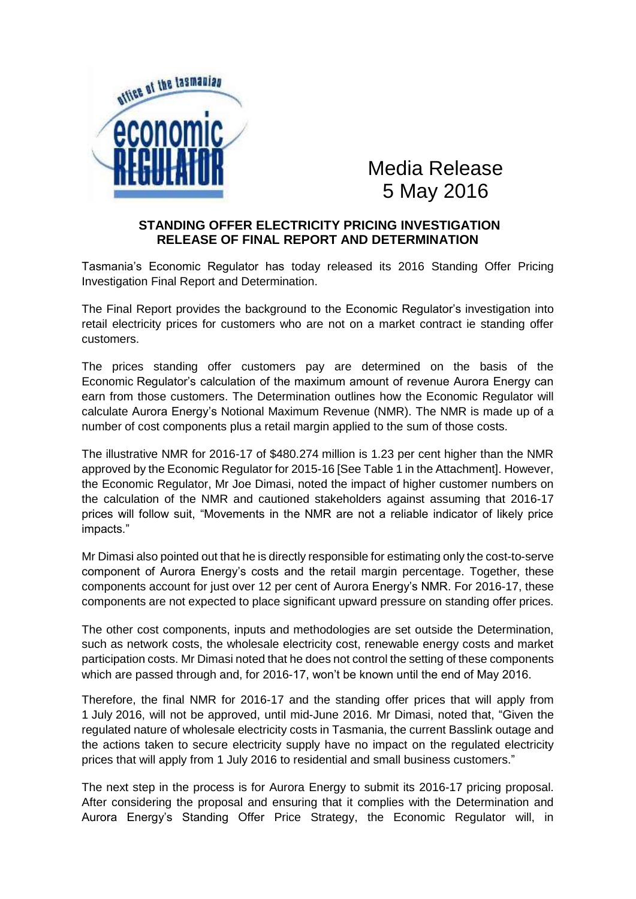

Media Release 5 May 2016

## **STANDING OFFER ELECTRICITY PRICING INVESTIGATION RELEASE OF FINAL REPORT AND DETERMINATION**

Tasmania's Economic Regulator has today released its 2016 Standing Offer Pricing Investigation Final Report and Determination.

The Final Report provides the background to the Economic Regulator's investigation into retail electricity prices for customers who are not on a market contract ie standing offer customers.

The prices standing offer customers pay are determined on the basis of the Economic Regulator's calculation of the maximum amount of revenue Aurora Energy can earn from those customers. The Determination outlines how the Economic Regulator will calculate Aurora Energy's Notional Maximum Revenue (NMR). The NMR is made up of a number of cost components plus a retail margin applied to the sum of those costs.

The illustrative NMR for 2016-17 of \$480.274 million is 1.23 per cent higher than the NMR approved by the Economic Regulator for 2015-16 [See Table 1 in the Attachment]. However, the Economic Regulator, Mr Joe Dimasi, noted the impact of higher customer numbers on the calculation of the NMR and cautioned stakeholders against assuming that 2016-17 prices will follow suit, "Movements in the NMR are not a reliable indicator of likely price impacts."

Mr Dimasi also pointed out that he is directly responsible for estimating only the cost-to-serve component of Aurora Energy's costs and the retail margin percentage. Together, these components account for just over 12 per cent of Aurora Energy's NMR. For 2016-17, these components are not expected to place significant upward pressure on standing offer prices.

The other cost components, inputs and methodologies are set outside the Determination, such as network costs, the wholesale electricity cost, renewable energy costs and market participation costs. Mr Dimasi noted that he does not control the setting of these components which are passed through and, for 2016-17, won't be known until the end of May 2016.

Therefore, the final NMR for 2016-17 and the standing offer prices that will apply from 1 July 2016, will not be approved, until mid-June 2016. Mr Dimasi, noted that, "Given the regulated nature of wholesale electricity costs in Tasmania, the current Basslink outage and the actions taken to secure electricity supply have no impact on the regulated electricity prices that will apply from 1 July 2016 to residential and small business customers."

The next step in the process is for Aurora Energy to submit its 2016-17 pricing proposal. After considering the proposal and ensuring that it complies with the Determination and Aurora Energy's Standing Offer Price Strategy, the Economic Regulator will, in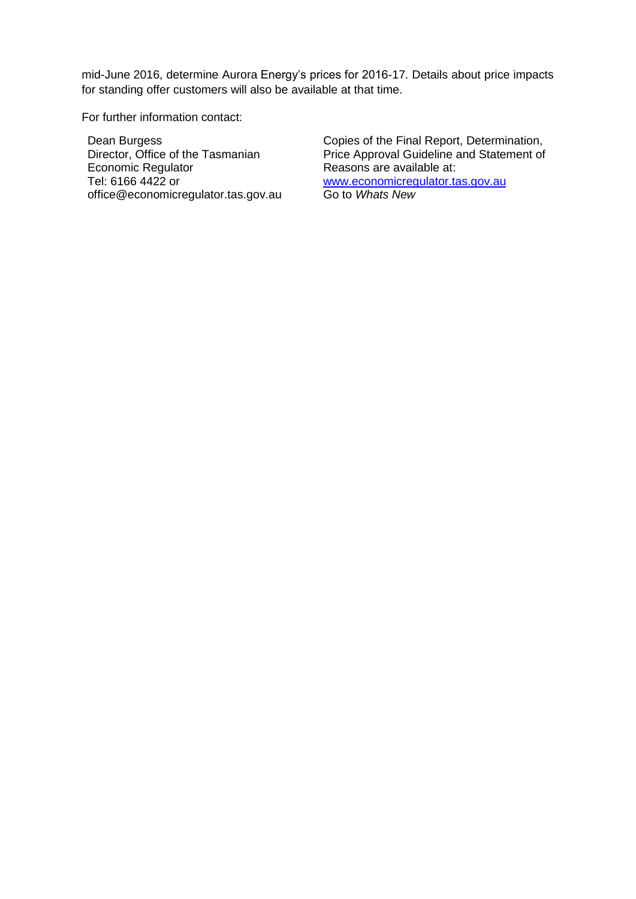mid-June 2016, determine Aurora Energy's prices for 2016-17. Details about price impacts for standing offer customers will also be available at that time.

For further information contact:

Dean Burgess Director, Office of the Tasmanian Economic Regulator Tel: 6166 4422 or office@economicregulator.tas.gov.au Copies of the Final Report, Determination, Price Approval Guideline and Statement of Reasons are available at: [www.economicregulator.tas.gov.au](http://www.economicregulator.tas.gov.au/) Go to *Whats New*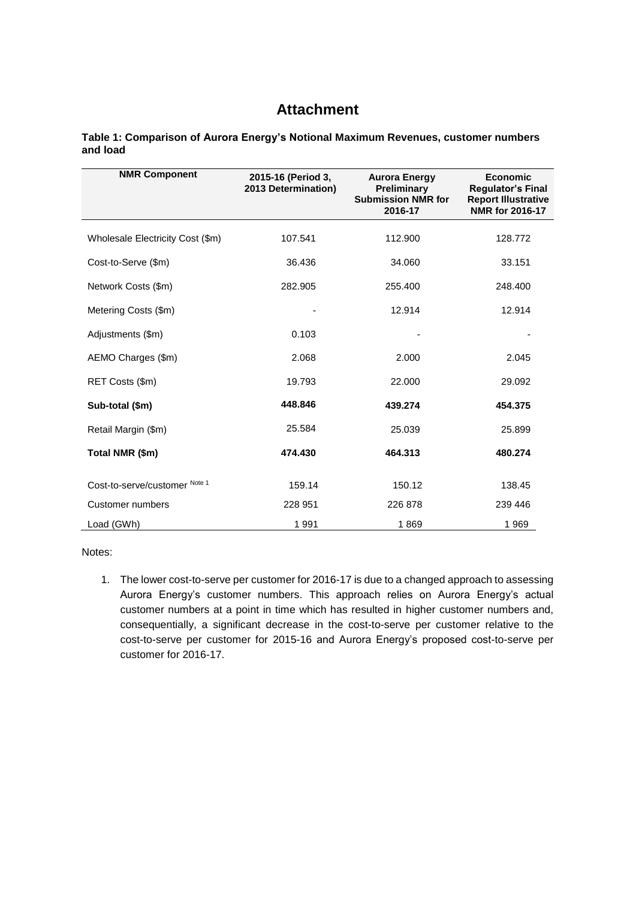## **Attachment**

**Table 1: Comparison of Aurora Energy's Notional Maximum Revenues, customer numbers and load**

| <b>NMR Component</b>             | 2015-16 (Period 3,<br>2013 Determination) | <b>Aurora Energy</b><br>Preliminary<br><b>Submission NMR for</b><br>2016-17 | <b>Economic</b><br><b>Regulator's Final</b><br><b>Report Illustrative</b><br>NMR for 2016-17 |
|----------------------------------|-------------------------------------------|-----------------------------------------------------------------------------|----------------------------------------------------------------------------------------------|
| Wholesale Electricity Cost (\$m) | 107.541                                   | 112.900                                                                     | 128.772                                                                                      |
| Cost-to-Serve (\$m)              | 36.436                                    | 34.060                                                                      | 33.151                                                                                       |
| Network Costs (\$m)              | 282.905                                   | 255.400                                                                     | 248,400                                                                                      |
| Metering Costs (\$m)             |                                           | 12.914                                                                      | 12.914                                                                                       |
| Adjustments (\$m)                | 0.103                                     |                                                                             |                                                                                              |
| AEMO Charges (\$m)               | 2.068                                     | 2.000                                                                       | 2.045                                                                                        |
| RET Costs (\$m)                  | 19.793                                    | 22,000                                                                      | 29.092                                                                                       |
| Sub-total (\$m)                  | 448.846                                   | 439.274                                                                     | 454.375                                                                                      |
| Retail Margin (\$m)              | 25.584                                    | 25.039                                                                      | 25.899                                                                                       |
| Total NMR (\$m)                  | 474.430                                   | 464.313                                                                     | 480.274                                                                                      |
| Cost-to-serve/customer Note 1    | 159.14                                    | 150.12                                                                      | 138.45                                                                                       |
| Customer numbers                 | 228 951                                   | 226 878                                                                     | 239 446                                                                                      |
| Load (GWh)                       | 1991                                      | 1869                                                                        | 1969                                                                                         |

Notes:

1. The lower cost-to-serve per customer for 2016-17 is due to a changed approach to assessing Aurora Energy's customer numbers. This approach relies on Aurora Energy's actual customer numbers at a point in time which has resulted in higher customer numbers and, consequentially, a significant decrease in the cost-to-serve per customer relative to the cost-to-serve per customer for 2015-16 and Aurora Energy's proposed cost-to-serve per customer for 2016-17.